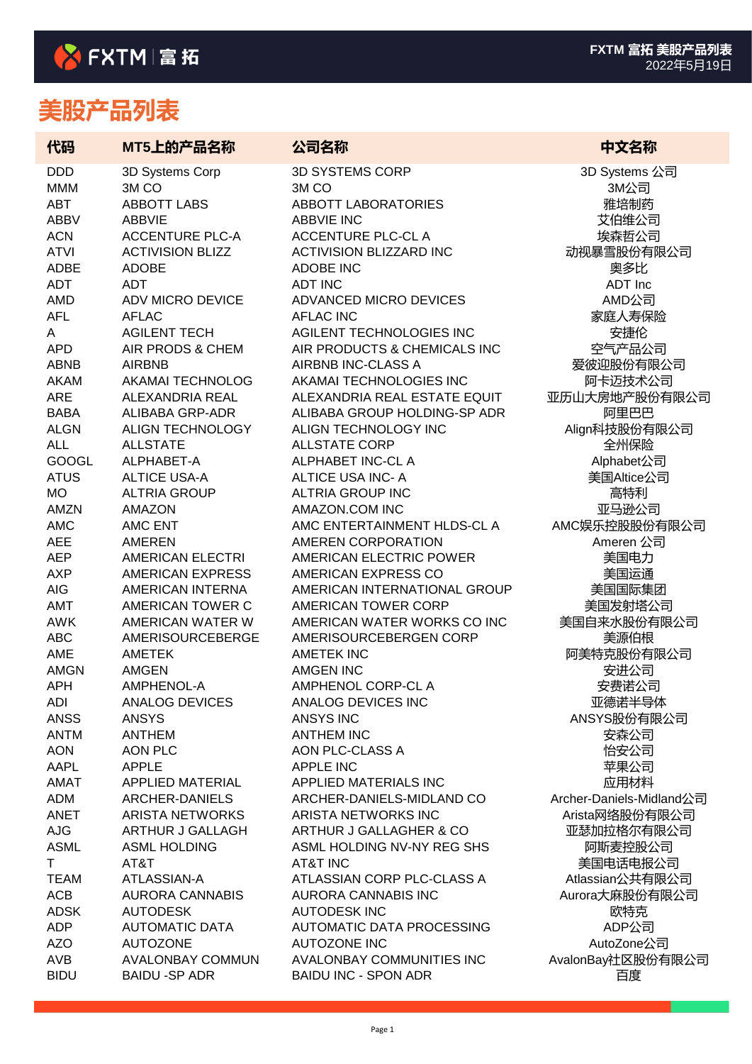| 代码                       | MT5上的产品名称                            | 公司名称                                                      | 中文名称                     |
|--------------------------|--------------------------------------|-----------------------------------------------------------|--------------------------|
| <b>DDD</b>               | 3D Systems Corp                      | <b>3D SYSTEMS CORP</b>                                    | 3D Systems 公司            |
| <b>MMM</b>               | 3M <sub>CO</sub>                     | 3M <sub>CO</sub>                                          | 3M公司                     |
| <b>ABT</b>               | <b>ABBOTT LABS</b>                   | <b>ABBOTT LABORATORIES</b>                                | 雅培制药                     |
| <b>ABBV</b>              | <b>ABBVIE</b>                        | <b>ABBVIE INC</b>                                         | 艾伯维公司                    |
| <b>ACN</b>               | <b>ACCENTURE PLC-A</b>               | <b>ACCENTURE PLC-CL A</b>                                 | 埃森哲公司                    |
| <b>ATVI</b>              | <b>ACTIVISION BLIZZ</b>              | <b>ACTIVISION BLIZZARD INC</b>                            | 动视暴雪股份有限公司               |
| ADBE                     | <b>ADOBE</b>                         | <b>ADOBE INC</b>                                          | 奥多比                      |
| <b>ADT</b>               | <b>ADT</b>                           | <b>ADT INC</b>                                            | ADT Inc                  |
| <b>AMD</b>               | <b>ADV MICRO DEVICE</b>              | ADVANCED MICRO DEVICES                                    | AMD公司                    |
| <b>AFL</b>               | <b>AFLAC</b>                         | <b>AFLAC INC</b>                                          | 家庭人寿保险                   |
| A                        | <b>AGILENT TECH</b>                  | AGILENT TECHNOLOGIES INC                                  | 安捷伦                      |
| <b>APD</b>               | AIR PRODS & CHEM                     | AIR PRODUCTS & CHEMICALS INC                              | 空气产品公司                   |
| <b>ABNB</b>              | <b>AIRBNB</b>                        | AIRBNB INC-CLASS A                                        | 爱彼迎股份有限公司                |
| <b>AKAM</b>              | <b>AKAMAI TECHNOLOG</b>              | AKAMAI TECHNOLOGIES INC                                   | 阿卡迈技术公司                  |
| <b>ARE</b>               | ALEXANDRIA REAL                      | ALEXANDRIA REAL ESTATE EQUIT                              | 亚历山大房地产股份有限公司            |
| <b>BABA</b>              | ALIBABA GRP-ADR                      | ALIBABA GROUP HOLDING-SP ADR                              | 阿里巴巴                     |
| <b>ALGN</b>              | <b>ALIGN TECHNOLOGY</b>              | ALIGN TECHNOLOGY INC                                      | Align科技股份有限公司            |
| <b>ALL</b>               | <b>ALLSTATE</b>                      | <b>ALLSTATE CORP</b>                                      | 全州保险                     |
| <b>GOOGL</b>             | ALPHABET-A                           | ALPHABET INC-CL A                                         | Alphabet公司               |
| <b>ATUS</b>              | <b>ALTICE USA-A</b>                  | ALTICE USA INC- A                                         | 美国Altice公司               |
| <b>MO</b>                | <b>ALTRIA GROUP</b>                  | <b>ALTRIA GROUP INC</b>                                   | 高特利                      |
| <b>AMZN</b>              | <b>AMAZON</b>                        | AMAZON.COM INC                                            | 亚马逊公司                    |
| <b>AMC</b>               | AMC ENT                              | AMC ENTERTAINMENT HLDS-CL A                               | AMC娱乐控股股份有限公司            |
| <b>AEE</b>               | <b>AMEREN</b>                        | AMEREN CORPORATION                                        | Ameren 公司                |
| <b>AEP</b>               | <b>AMERICAN ELECTRI</b>              | AMERICAN ELECTRIC POWER                                   | 美国电力                     |
| <b>AXP</b>               | <b>AMERICAN EXPRESS</b>              | AMERICAN EXPRESS CO                                       | 美国运通                     |
| <b>AIG</b>               | AMERICAN INTERNA                     | AMERICAN INTERNATIONAL GROUP                              | 美国国际集团                   |
| AMT                      | AMERICAN TOWER C<br>AMERICAN WATER W | <b>AMERICAN TOWER CORP</b><br>AMERICAN WATER WORKS CO INC | 美国发射塔公司                  |
| <b>AWK</b><br><b>ABC</b> | <b>AMERISOURCEBERGE</b>              | AMERISOURCEBERGEN CORP                                    | 美国自来水股份有限公司              |
| AME                      | <b>AMETEK</b>                        | <b>AMETEK INC</b>                                         | 美源伯根<br>阿美特克股份有限公司       |
| <b>AMGN</b>              | <b>AMGEN</b>                         | <b>AMGEN INC</b>                                          | 安进公司                     |
| <b>APH</b>               | AMPHENOL-A                           | AMPHENOL CORP-CL A                                        | 安费诺公司                    |
| ADI                      | ANALOG DEVICES                       | ANALOG DEVICES INC                                        | 亚德诺半导体                   |
| <b>ANSS</b>              | <b>ANSYS</b>                         | <b>ANSYS INC</b>                                          | ANSYS股份有限公司              |
| <b>ANTM</b>              | <b>ANTHEM</b>                        | <b>ANTHEM INC</b>                                         | 安森公司                     |
| <b>AON</b>               | <b>AON PLC</b>                       | AON PLC-CLASS A                                           | 怡安公司                     |
| AAPL                     | <b>APPLE</b>                         | <b>APPLE INC</b>                                          | 苹果公司                     |
| AMAT                     | APPLIED MATERIAL                     | APPLIED MATERIALS INC                                     | 应用材料                     |
| ADM                      | ARCHER-DANIELS                       | ARCHER-DANIELS-MIDLAND CO                                 | Archer-Daniels-Midland公司 |
| ANET                     | <b>ARISTA NETWORKS</b>               | ARISTA NETWORKS INC                                       | Arista网络股份有限公司           |
| <b>AJG</b>               | ARTHUR J GALLAGH                     | ARTHUR J GALLAGHER & CO                                   | 亚瑟加拉格尔有限公司               |
| <b>ASML</b>              | <b>ASML HOLDING</b>                  | ASML HOLDING NV-NY REG SHS                                | 阿斯麦控股公司                  |
| T.                       | AT&T                                 | AT&T INC                                                  | 美国电话电报公司                 |
| <b>TEAM</b>              | ATLASSIAN-A                          | ATLASSIAN CORP PLC-CLASS A                                | Atlassian公共有限公司          |
| <b>ACB</b>               | <b>AURORA CANNABIS</b>               | <b>AURORA CANNABIS INC</b>                                | Aurora大麻股份有限公司           |
| <b>ADSK</b>              | <b>AUTODESK</b>                      | <b>AUTODESK INC</b>                                       | 欧特克                      |
| <b>ADP</b>               | <b>AUTOMATIC DATA</b>                | AUTOMATIC DATA PROCESSING                                 | ADP公司                    |
| <b>AZO</b>               | <b>AUTOZONE</b>                      | <b>AUTOZONE INC</b>                                       | AutoZone公司               |
| AVB                      | <b>AVALONBAY COMMUN</b>              | AVALONBAY COMMUNITIES INC                                 | AvalonBay社区股份有限公司        |
| <b>BIDU</b>              | <b>BAIDU - SP ADR</b>                | <b>BAIDU INC - SPON ADR</b>                               | 百度                       |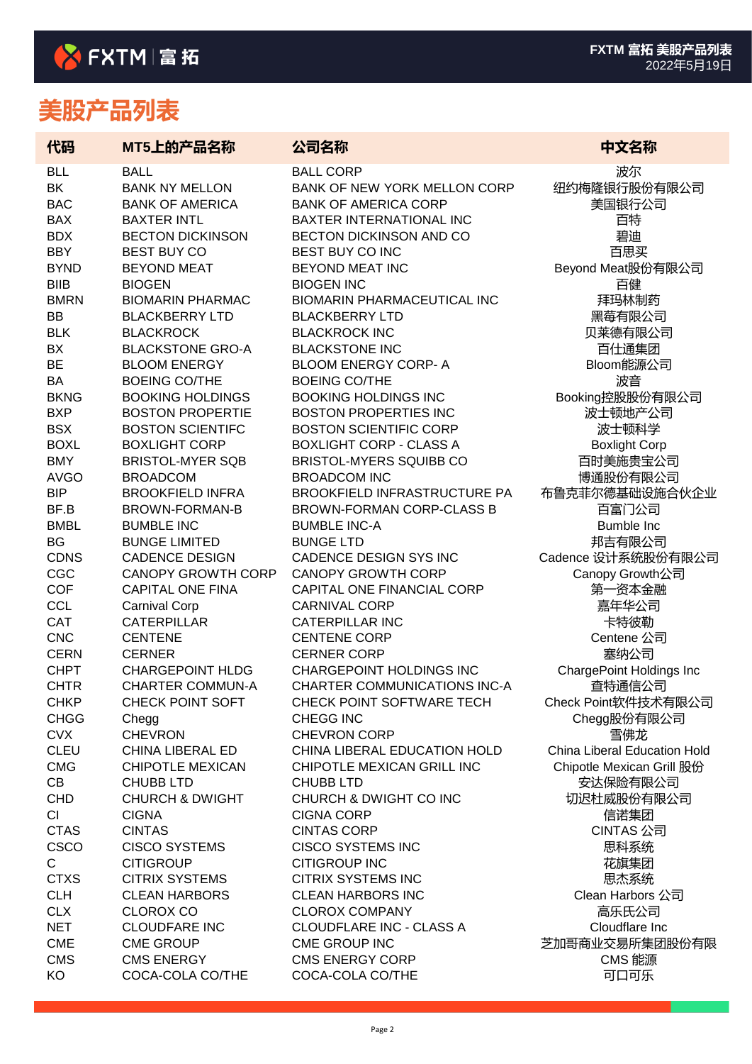| 代码                         | MT5上的产品名称                                          | 公司名称                                                                   | 中文名称                                      |
|----------------------------|----------------------------------------------------|------------------------------------------------------------------------|-------------------------------------------|
| <b>BLL</b>                 | <b>BALL</b>                                        | <b>BALL CORP</b>                                                       | 波尔                                        |
| BK                         | <b>BANK NY MELLON</b>                              | BANK OF NEW YORK MELLON CORP                                           | 纽约梅隆银行股份有限公司                              |
| <b>BAC</b>                 | <b>BANK OF AMERICA</b>                             | <b>BANK OF AMERICA CORP</b>                                            | 美国银行公司                                    |
| <b>BAX</b>                 | <b>BAXTER INTL</b>                                 | <b>BAXTER INTERNATIONAL INC</b>                                        | 百特                                        |
| <b>BDX</b>                 | <b>BECTON DICKINSON</b>                            | BECTON DICKINSON AND CO                                                | 碧迪                                        |
| <b>BBY</b>                 | <b>BEST BUY CO</b>                                 | BEST BUY CO INC                                                        | 百思买                                       |
| <b>BYND</b>                | <b>BEYOND MEAT</b>                                 | BEYOND MEAT INC                                                        | Beyond Meat股份有限公司                         |
| <b>BIIB</b>                | <b>BIOGEN</b>                                      | <b>BIOGEN INC</b>                                                      | 百健                                        |
| <b>BMRN</b>                | <b>BIOMARIN PHARMAC</b>                            | <b>BIOMARIN PHARMACEUTICAL INC</b>                                     | 拜玛林制药                                     |
| BB<br><b>BLK</b>           | <b>BLACKBERRY LTD</b>                              | <b>BLACKBERRY LTD</b>                                                  | 黑莓有限公司                                    |
| BX                         | <b>BLACKROCK</b><br><b>BLACKSTONE GRO-A</b>        | <b>BLACKROCK INC</b><br><b>BLACKSTONE INC</b>                          | 贝莱德有限公司                                   |
| <b>BE</b>                  | <b>BLOOM ENERGY</b>                                | <b>BLOOM ENERGY CORP- A</b>                                            | 百仕通集团<br>Bloom能源公司                        |
| <b>BA</b>                  | <b>BOEING CO/THE</b>                               | <b>BOEING CO/THE</b>                                                   | 波音                                        |
| <b>BKNG</b>                | <b>BOOKING HOLDINGS</b>                            | <b>BOOKING HOLDINGS INC</b>                                            | Booking控股股份有限公司                           |
| <b>BXP</b>                 | <b>BOSTON PROPERTIE</b>                            | <b>BOSTON PROPERTIES INC</b>                                           | 波士顿地产公司                                   |
| <b>BSX</b>                 | <b>BOSTON SCIENTIFC</b>                            | <b>BOSTON SCIENTIFIC CORP</b>                                          | 波士顿科学                                     |
| <b>BOXL</b>                | <b>BOXLIGHT CORP</b>                               | <b>BOXLIGHT CORP - CLASS A</b>                                         | <b>Boxlight Corp</b>                      |
| <b>BMY</b>                 | <b>BRISTOL-MYER SQB</b>                            | <b>BRISTOL-MYERS SQUIBB CO</b>                                         | 百时美施贵宝公司                                  |
| <b>AVGO</b>                | <b>BROADCOM</b>                                    | <b>BROADCOM INC</b>                                                    | 博通股份有限公司                                  |
| <b>BIP</b>                 | <b>BROOKFIELD INFRA</b>                            | <b>BROOKFIELD INFRASTRUCTURE PA</b>                                    | 布鲁克菲尔德基础设施合伙企业                            |
| BF.B                       | BROWN-FORMAN-B                                     | BROWN-FORMAN CORP-CLASS B                                              | 百富门公司                                     |
| <b>BMBL</b>                | <b>BUMBLE INC</b>                                  | <b>BUMBLE INC-A</b>                                                    | Bumble Inc                                |
| <b>BG</b>                  | <b>BUNGE LIMITED</b>                               | <b>BUNGE LTD</b>                                                       | 邦吉有限公司                                    |
| <b>CDNS</b>                | <b>CADENCE DESIGN</b>                              | CADENCE DESIGN SYS INC                                                 | Cadence 设计系统股份有限公司                        |
| CGC                        | <b>CANOPY GROWTH CORP</b>                          | <b>CANOPY GROWTH CORP</b>                                              | Canopy Growth公司                           |
| <b>COF</b>                 | <b>CAPITAL ONE FINA</b>                            | CAPITAL ONE FINANCIAL CORP                                             | 第一资本金融                                    |
| <b>CCL</b>                 | <b>Carnival Corp</b>                               | <b>CARNIVAL CORP</b>                                                   | 嘉年华公司                                     |
| <b>CAT</b>                 | <b>CATERPILLAR</b>                                 | <b>CATERPILLAR INC</b>                                                 | 卡特彼勒                                      |
| <b>CNC</b>                 | <b>CENTENE</b>                                     | <b>CENTENE CORP</b>                                                    | Centene 公司                                |
| CERN                       | <b>CERNER</b>                                      | <b>CERNER CORP</b>                                                     | 塞纳公司                                      |
| <b>CHPT</b><br><b>CHTR</b> | <b>CHARGEPOINT HLDG</b><br><b>CHARTER COMMUN-A</b> | <b>CHARGEPOINT HOLDINGS INC</b><br><b>CHARTER COMMUNICATIONS INC-A</b> | <b>ChargePoint Holdings Inc</b><br>查特通信公司 |
| <b>CHKP</b>                | CHECK POINT SOFT                                   | CHECK POINT SOFTWARE TECH                                              | Check Point软件技术有限公司                       |
| <b>CHGG</b>                | Chegg                                              | <b>CHEGG INC</b>                                                       | Chegg股份有限公司                               |
| <b>CVX</b>                 | <b>CHEVRON</b>                                     | <b>CHEVRON CORP</b>                                                    | 雪佛龙                                       |
| <b>CLEU</b>                | <b>CHINA LIBERAL ED</b>                            | CHINA LIBERAL EDUCATION HOLD                                           | China Liberal Education Hold              |
| <b>CMG</b>                 | <b>CHIPOTLE MEXICAN</b>                            | CHIPOTLE MEXICAN GRILL INC                                             | Chipotle Mexican Grill 股份                 |
| CB                         | <b>CHUBB LTD</b>                                   | <b>CHUBB LTD</b>                                                       | 安达保险有限公司                                  |
| <b>CHD</b>                 | <b>CHURCH &amp; DWIGHT</b>                         | CHURCH & DWIGHT CO INC                                                 | 切迟杜威股份有限公司                                |
| <b>CI</b>                  | <b>CIGNA</b>                                       | <b>CIGNA CORP</b>                                                      | 信诺集团                                      |
| <b>CTAS</b>                | <b>CINTAS</b>                                      | <b>CINTAS CORP</b>                                                     | <b>CINTAS 公司</b>                          |
| <b>CSCO</b>                | <b>CISCO SYSTEMS</b>                               | <b>CISCO SYSTEMS INC</b>                                               | 思科系统                                      |
| $\mathsf{C}$               | <b>CITIGROUP</b>                                   | <b>CITIGROUP INC</b>                                                   | 花旗集团                                      |
| <b>CTXS</b>                | <b>CITRIX SYSTEMS</b>                              | <b>CITRIX SYSTEMS INC</b>                                              | 思杰系统                                      |
| <b>CLH</b>                 | <b>CLEAN HARBORS</b>                               | <b>CLEAN HARBORS INC</b>                                               | Clean Harbors 公司                          |
| <b>CLX</b>                 | <b>CLOROX CO</b>                                   | <b>CLOROX COMPANY</b>                                                  | 高乐氏公司                                     |
| <b>NET</b>                 | <b>CLOUDFARE INC</b>                               | <b>CLOUDFLARE INC - CLASS A</b>                                        | Cloudflare Inc                            |
| <b>CME</b>                 | <b>CME GROUP</b>                                   | CME GROUP INC                                                          | 芝加哥商业交易所集团股份有限                            |
| <b>CMS</b>                 | <b>CMS ENERGY</b>                                  | <b>CMS ENERGY CORP</b>                                                 | CMS 能源                                    |
| KO                         | COCA-COLA CO/THE                                   | COCA-COLA CO/THE                                                       | 可口可乐                                      |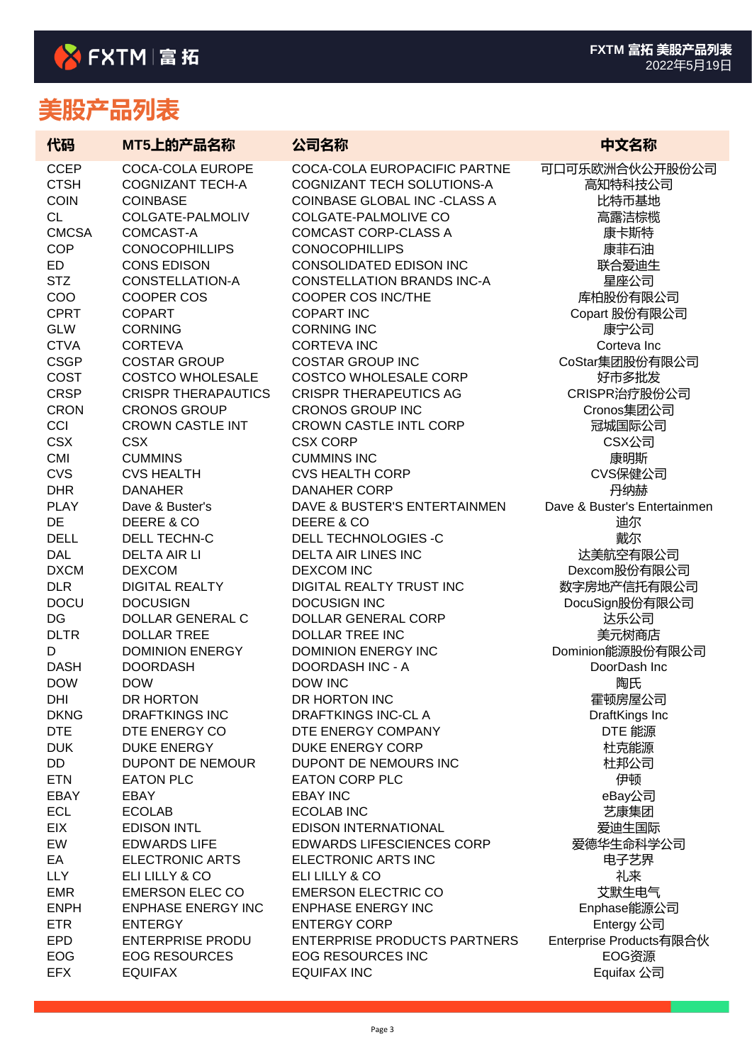| 代码                 | MT5上的产品名称                        | 公司名称                                                            | 中文名称                         |
|--------------------|----------------------------------|-----------------------------------------------------------------|------------------------------|
| <b>CCEP</b>        | COCA-COLA EUROPE                 | COCA-COLA EUROPACIFIC PARTNE                                    | 可口可乐欧洲合伙公开股份公司               |
| <b>CTSH</b>        | <b>COGNIZANT TECH-A</b>          | COGNIZANT TECH SOLUTIONS-A                                      | 高知特科技公司                      |
| <b>COIN</b>        | <b>COINBASE</b>                  | <b>COINBASE GLOBAL INC -CLASS A</b>                             | 比特币基地                        |
| <b>CL</b>          | COLGATE-PALMOLIV                 | <b>COLGATE-PALMOLIVE CO</b>                                     | 高露洁棕榄                        |
| <b>CMCSA</b>       | COMCAST-A                        | <b>COMCAST CORP-CLASS A</b>                                     | 康卡斯特                         |
| <b>COP</b>         | <b>CONOCOPHILLIPS</b>            | <b>CONOCOPHILLIPS</b>                                           | 康菲石油                         |
| <b>ED</b>          | <b>CONS EDISON</b>               | <b>CONSOLIDATED EDISON INC</b>                                  | 联合爱迪生                        |
| <b>STZ</b>         | CONSTELLATION-A                  | <b>CONSTELLATION BRANDS INC-A</b>                               | 星座公司                         |
| COO                | <b>COOPER COS</b>                | COOPER COS INC/THE<br><b>COPART INC</b>                         | 库柏股份有限公司                     |
| <b>CPRT</b><br>GLW | <b>COPART</b>                    | <b>CORNING INC</b>                                              | Copart 股份有限公司                |
| <b>CTVA</b>        | <b>CORNING</b><br><b>CORTEVA</b> | <b>CORTEVA INC</b>                                              | 康宁公司<br>Corteva Inc          |
| <b>CSGP</b>        | <b>COSTAR GROUP</b>              | <b>COSTAR GROUP INC</b>                                         | CoStar集团股份有限公司               |
| COST               | <b>COSTCO WHOLESALE</b>          | <b>COSTCO WHOLESALE CORP</b>                                    | 好市多批发                        |
| <b>CRSP</b>        | <b>CRISPR THERAPAUTICS</b>       | <b>CRISPR THERAPEUTICS AG</b>                                   | CRISPR治疗股份公司                 |
| <b>CRON</b>        | <b>CRONOS GROUP</b>              | <b>CRONOS GROUP INC</b>                                         | Cronos集团公司                   |
| CCI                | <b>CROWN CASTLE INT</b>          | <b>CROWN CASTLE INTL CORP</b>                                   | 冠城国际公司                       |
| <b>CSX</b>         | <b>CSX</b>                       | <b>CSX CORP</b>                                                 | CSX公司                        |
| <b>CMI</b>         | <b>CUMMINS</b>                   | <b>CUMMINS INC</b>                                              | 康明斯                          |
| <b>CVS</b>         | <b>CVS HEALTH</b>                | <b>CVS HEALTH CORP</b>                                          | CVS保健公司                      |
| <b>DHR</b>         | <b>DANAHER</b>                   | <b>DANAHER CORP</b>                                             | 丹纳赫                          |
| <b>PLAY</b>        | Dave & Buster's                  | DAVE & BUSTER'S ENTERTAINMEN                                    | Dave & Buster's Entertainmen |
| <b>DE</b>          | DEERE & CO                       | DEERE & CO                                                      | 迪尔                           |
| <b>DELL</b>        | DELL TECHN-C                     | <b>DELL TECHNOLOGIES -C</b>                                     | 戴尔                           |
| <b>DAL</b>         | <b>DELTA AIR LI</b>              | <b>DELTA AIR LINES INC</b>                                      | 达美航空有限公司                     |
| <b>DXCM</b>        | <b>DEXCOM</b>                    | <b>DEXCOM INC</b>                                               | Dexcom股份有限公司                 |
| <b>DLR</b>         | <b>DIGITAL REALTY</b>            | DIGITAL REALTY TRUST INC                                        | 数字房地产信托有限公司                  |
| <b>DOCU</b>        | <b>DOCUSIGN</b>                  | <b>DOCUSIGN INC</b>                                             | DocuSign股份有限公司               |
| DG                 | <b>DOLLAR GENERAL C</b>          | <b>DOLLAR GENERAL CORP</b>                                      | 达乐公司                         |
| <b>DLTR</b>        | <b>DOLLAR TREE</b>               | <b>DOLLAR TREE INC</b>                                          | 美元树商店                        |
| D                  | <b>DOMINION ENERGY</b>           | <b>DOMINION ENERGY INC</b>                                      | Dominion能源股份有限公司             |
| <b>DASH</b>        | <b>DOORDASH</b>                  | <b>DOORDASH INC - A</b>                                         | DoorDash Inc                 |
| <b>DOW</b>         | <b>DOW</b>                       | <b>DOW INC</b>                                                  | 陶氏                           |
| DHI                | DR HORTON                        | DR HORTON INC                                                   | 霍顿房屋公司                       |
| <b>DKNG</b>        | <b>DRAFTKINGS INC</b>            | <b>DRAFTKINGS INC-CLA</b>                                       | DraftKings Inc               |
| <b>DTE</b>         | DTE ENERGY CO                    | DTE ENERGY COMPANY                                              | DTE 能源                       |
| <b>DUK</b>         | <b>DUKE ENERGY</b>               | DUKE ENERGY CORP                                                | 杜克能源                         |
| DD                 | DUPONT DE NEMOUR                 | DUPONT DE NEMOURS INC                                           | 杜邦公司                         |
| <b>ETN</b>         | <b>EATON PLC</b>                 | <b>EATON CORP PLC</b>                                           | 伊顿                           |
| EBAY               | EBAY                             | <b>EBAY INC</b>                                                 | eBay公司                       |
| <b>ECL</b>         | <b>ECOLAB</b>                    | <b>ECOLAB INC</b>                                               | 艺康集团                         |
| EIX                | <b>EDISON INTL</b>               | <b>EDISON INTERNATIONAL</b>                                     | 爱迪生国际                        |
| EW                 | <b>EDWARDS LIFE</b>              | <b>EDWARDS LIFESCIENCES CORP</b>                                | 爱德华生命科学公司                    |
| EA                 | <b>ELECTRONIC ARTS</b>           | ELECTRONIC ARTS INC                                             | 电子艺界                         |
| <b>LLY</b>         | ELI LILLY & CO                   | ELI LILLY & CO                                                  | 礼来                           |
| <b>EMR</b>         | <b>EMERSON ELEC CO</b>           | <b>EMERSON ELECTRIC CO</b>                                      | 艾默生电气                        |
| <b>ENPH</b>        | <b>ENPHASE ENERGY INC</b>        | <b>ENPHASE ENERGY INC</b>                                       | Enphase能源公司                  |
| <b>ETR</b>         | <b>ENTERGY</b>                   | <b>ENTERGY CORP</b>                                             | Entergy 公司                   |
| <b>EPD</b>         | <b>ENTERPRISE PRODU</b>          | <b>ENTERPRISE PRODUCTS PARTNERS</b><br><b>EOG RESOURCES INC</b> | Enterprise Products有限合伙      |
| EOG<br><b>EFX</b>  | <b>EOG RESOURCES</b>             |                                                                 | EOG资源                        |
|                    | <b>EQUIFAX</b>                   | <b>EQUIFAX INC</b>                                              | Equifax 公司                   |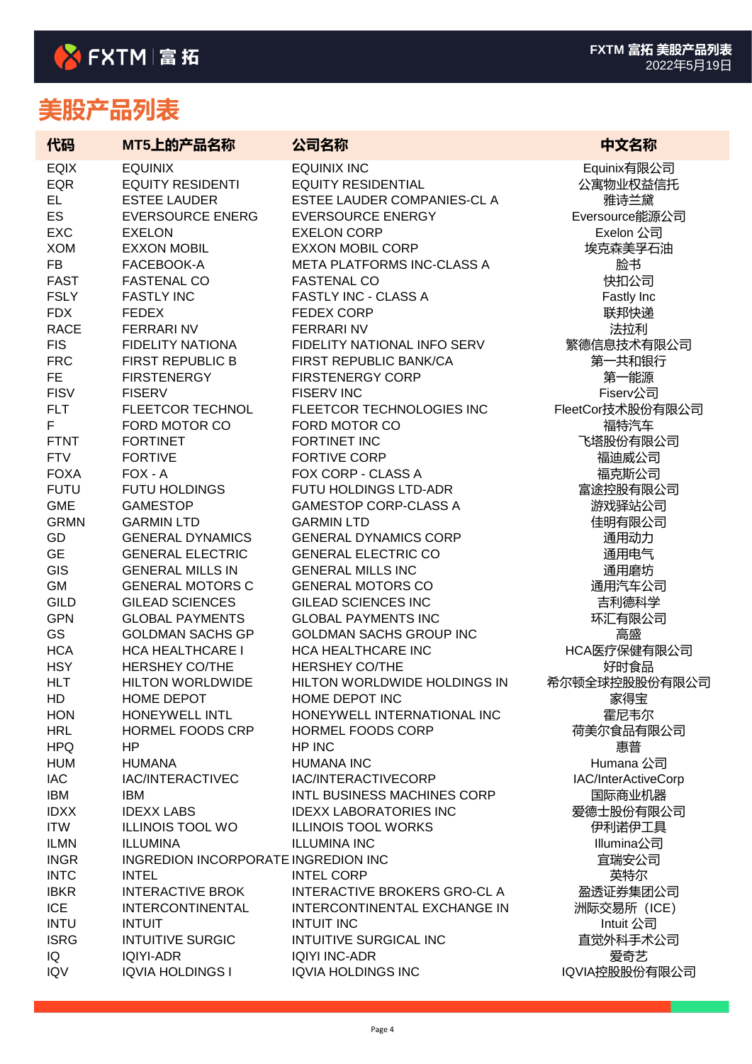| 代码                        | MT5上的产品名称                                | 公司名称                                                  | 中文名称                |
|---------------------------|------------------------------------------|-------------------------------------------------------|---------------------|
| <b>EQIX</b>               | <b>EQUINIX</b>                           | <b>EQUINIX INC</b>                                    | Equinix有限公司         |
| <b>EQR</b>                | <b>EQUITY RESIDENTI</b>                  | <b>EQUITY RESIDENTIAL</b>                             | 公寓物业权益信托            |
| EL.                       | <b>ESTEE LAUDER</b>                      | ESTEE LAUDER COMPANIES-CL A                           | 雅诗兰黛                |
| <b>ES</b>                 | <b>EVERSOURCE ENERG</b>                  | <b>EVERSOURCE ENERGY</b>                              | Eversource能源公司      |
| <b>EXC</b>                | <b>EXELON</b>                            | <b>EXELON CORP</b>                                    | Exelon 公司           |
| <b>XOM</b>                | <b>EXXON MOBIL</b>                       | <b>EXXON MOBIL CORP</b>                               | 埃克森美孚石油             |
| <b>FB</b>                 | FACEBOOK-A                               | META PLATFORMS INC-CLASS A                            | 脸书                  |
| <b>FAST</b>               | <b>FASTENAL CO</b>                       | <b>FASTENAL CO</b>                                    | 快扣公司                |
| <b>FSLY</b>               | <b>FASTLY INC</b>                        | <b>FASTLY INC - CLASS A</b>                           | Fastly Inc          |
| <b>FDX</b>                | <b>FEDEX</b>                             | <b>FEDEX CORP</b>                                     | 联邦快递                |
| <b>RACE</b>               | <b>FERRARINV</b>                         | <b>FERRARINV</b>                                      | 法拉利                 |
| <b>FIS</b>                | <b>FIDELITY NATIONA</b>                  | FIDELITY NATIONAL INFO SERV<br>FIRST REPUBLIC BANK/CA | 繁德信息技术有限公司          |
| <b>FRC</b>                | <b>FIRST REPUBLIC B</b>                  |                                                       | 第一共和银行              |
| <b>FE</b>                 | <b>FIRSTENERGY</b>                       | <b>FIRSTENERGY CORP</b>                               | 第一能源                |
| <b>FISV</b><br><b>FLT</b> | <b>FISERV</b><br><b>FLEETCOR TECHNOL</b> | <b>FISERV INC</b><br>FLEETCOR TECHNOLOGIES INC        | Fiserv公司            |
| F                         | FORD MOTOR CO                            | FORD MOTOR CO                                         | FleetCor技术股份有限公司    |
| <b>FTNT</b>               | <b>FORTINET</b>                          | FORTINET INC                                          | 福特汽车<br>飞塔股份有限公司    |
| <b>FTV</b>                | <b>FORTIVE</b>                           | <b>FORTIVE CORP</b>                                   | 福迪威公司               |
| <b>FOXA</b>               | FOX - A                                  | FOX CORP - CLASS A                                    | 福克斯公司               |
| <b>FUTU</b>               | <b>FUTU HOLDINGS</b>                     | FUTU HOLDINGS LTD-ADR                                 | 富途控股有限公司            |
| <b>GME</b>                | <b>GAMESTOP</b>                          | <b>GAMESTOP CORP-CLASS A</b>                          | 游戏驿站公司              |
| <b>GRMN</b>               | <b>GARMIN LTD</b>                        | <b>GARMIN LTD</b>                                     | 佳明有限公司              |
| GD                        | <b>GENERAL DYNAMICS</b>                  | <b>GENERAL DYNAMICS CORP</b>                          | 通用动力                |
| <b>GE</b>                 | <b>GENERAL ELECTRIC</b>                  | <b>GENERAL ELECTRIC CO</b>                            | 通用电气                |
| GIS                       | <b>GENERAL MILLS IN</b>                  | <b>GENERAL MILLS INC</b>                              | 通用磨坊                |
| <b>GM</b>                 | <b>GENERAL MOTORS C</b>                  | <b>GENERAL MOTORS CO</b>                              | 通用汽车公司              |
| <b>GILD</b>               | <b>GILEAD SCIENCES</b>                   | <b>GILEAD SCIENCES INC</b>                            | 吉利德科学               |
| <b>GPN</b>                | <b>GLOBAL PAYMENTS</b>                   | <b>GLOBAL PAYMENTS INC</b>                            | 环汇有限公司              |
| GS                        | <b>GOLDMAN SACHS GP</b>                  | <b>GOLDMAN SACHS GROUP INC</b>                        | 高盛                  |
| <b>HCA</b>                | <b>HCA HEALTHCARE I</b>                  | HCA HEALTHCARE INC                                    | HCA医疗保健有限公司         |
| <b>HSY</b>                | <b>HERSHEY CO/THE</b>                    | <b>HERSHEY CO/THE</b>                                 | 好时食品                |
| <b>HLT</b>                | <b>HILTON WORLDWIDE</b>                  | HILTON WORLDWIDE HOLDINGS IN                          | 希尔顿全球控股股份有限公司       |
| HD                        | HOME DEPOT                               | HOME DEPOT INC                                        | 家得宝                 |
| <b>HON</b>                | HONEYWELL INTL                           | HONEYWELL INTERNATIONAL INC                           | 霍尼韦尔                |
| <b>HRL</b>                | HORMEL FOODS CRP                         | HORMEL FOODS CORP                                     | 荷美尔食品有限公司           |
| <b>HPQ</b>                | HP                                       | HP INC                                                | 惠普                  |
| <b>HUM</b>                | <b>HUMANA</b>                            | <b>HUMANA INC</b>                                     | Humana 公司           |
| <b>IAC</b>                | IAC/INTERACTIVEC                         | IAC/INTERACTIVECORP                                   | IAC/InterActiveCorp |
| IBM                       | IBM                                      | INTL BUSINESS MACHINES CORP                           | 国际商业机器              |
| <b>IDXX</b>               | <b>IDEXX LABS</b>                        | <b>IDEXX LABORATORIES INC</b>                         | 爱德士股份有限公司           |
| <b>ITW</b>                | <b>ILLINOIS TOOL WO</b>                  | <b>ILLINOIS TOOL WORKS</b>                            | 伊利诺伊工具              |
| <b>ILMN</b>               | <b>ILLUMINA</b>                          | <b>ILLUMINA INC</b>                                   | Illumina公司          |
| <b>INGR</b>               | INGREDION INCORPORATE INGREDION INC      |                                                       | 宜瑞安公司               |
| <b>INTC</b>               | <b>INTEL</b>                             | <b>INTEL CORP</b>                                     | 英特尔                 |
| <b>IBKR</b>               | <b>INTERACTIVE BROK</b>                  | INTERACTIVE BROKERS GRO-CL A                          | 盈透证券集团公司            |
| <b>ICE</b>                | INTERCONTINENTAL                         | INTERCONTINENTAL EXCHANGE IN                          | 洲际交易所 (ICE)         |
| <b>INTU</b>               | <b>INTUIT</b>                            | <b>INTUIT INC</b>                                     | Intuit 公司           |
| <b>ISRG</b>               | <b>INTUITIVE SURGIC</b>                  | <b>INTUITIVE SURGICAL INC</b>                         | 直觉外科手术公司            |
| IQ                        | <b>IQIYI-ADR</b>                         | <b>IQIYI INC-ADR</b>                                  | 爱奇艺                 |
| <b>IQV</b>                | <b>IQVIA HOLDINGS I</b>                  | <b>IQVIA HOLDINGS INC</b>                             | IQVIA控股股份有限公司       |
|                           |                                          |                                                       |                     |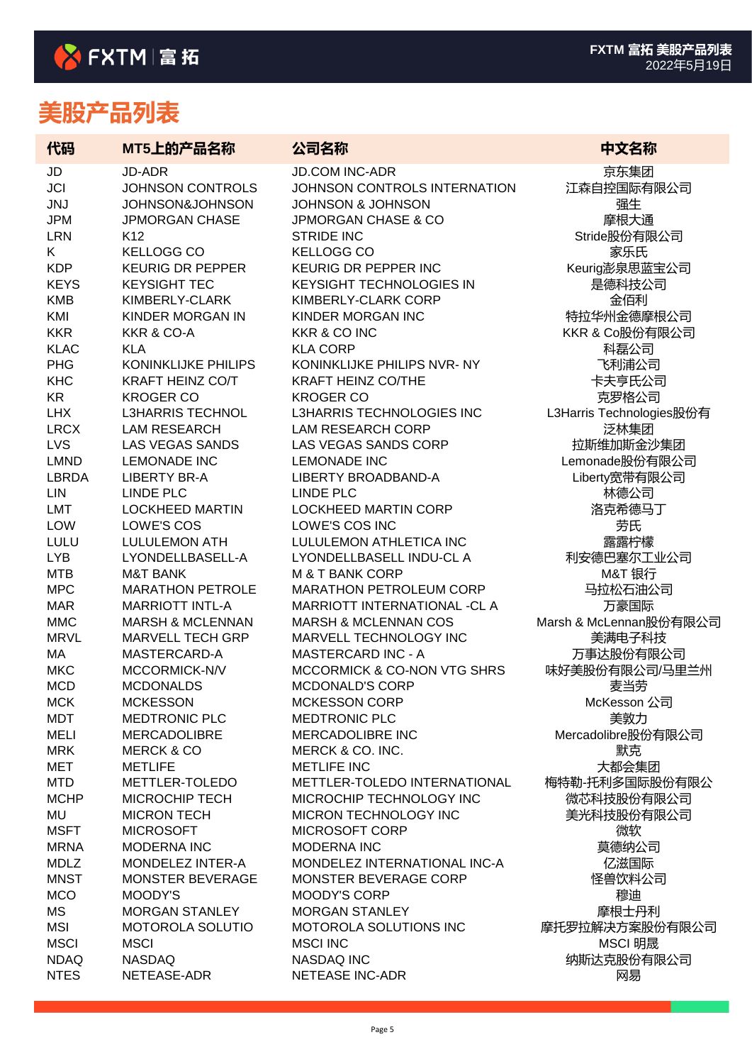| 代码                | MT5上的产品名称                                    | 公司名称                                           | 中文名称                      |
|-------------------|----------------------------------------------|------------------------------------------------|---------------------------|
| JD                | JD-ADR                                       | <b>JD.COM INC-ADR</b>                          | 京东集团                      |
| <b>JCI</b>        | <b>JOHNSON CONTROLS</b>                      | JOHNSON CONTROLS INTERNATION                   | 江森自控国际有限公司                |
| <b>JNJ</b>        | JOHNSON&JOHNSON                              | <b>JOHNSON &amp; JOHNSON</b>                   | 强生                        |
| <b>JPM</b>        | <b>JPMORGAN CHASE</b>                        | <b>JPMORGAN CHASE &amp; CO</b>                 | 摩根大通                      |
| <b>LRN</b>        | K <sub>12</sub>                              | <b>STRIDE INC</b><br><b>KELLOGG CO</b>         | Stride股份有限公司              |
| K.<br><b>KDP</b>  | <b>KELLOGG CO</b><br><b>KEURIG DR PEPPER</b> | KEURIG DR PEPPER INC                           | 家乐氏                       |
| <b>KEYS</b>       | <b>KEYSIGHT TEC</b>                          | <b>KEYSIGHT TECHNOLOGIES IN</b>                | Keurig澎泉思蓝宝公司<br>是德科技公司   |
| <b>KMB</b>        | KIMBERLY-CLARK                               | KIMBERLY-CLARK CORP                            | 金佰利                       |
| KMI               | KINDER MORGAN IN                             | KINDER MORGAN INC                              | 特拉华州金德摩根公司                |
| <b>KKR</b>        | <b>KKR &amp; CO-A</b>                        | <b>KKR &amp; CO INC</b>                        | KKR & Co股份有限公司            |
| <b>KLAC</b>       | <b>KLA</b>                                   | <b>KLA CORP</b>                                | 科磊公司                      |
| <b>PHG</b>        | <b>KONINKLIJKE PHILIPS</b>                   | KONINKLIJKE PHILIPS NVR-NY                     | 飞利浦公司                     |
| <b>KHC</b>        | <b>KRAFT HEINZ CO/T</b>                      | <b>KRAFT HEINZ CO/THE</b>                      | 卡夫亨氏公司                    |
| <b>KR</b>         | <b>KROGER CO</b>                             | <b>KROGER CO</b>                               | 克罗格公司                     |
| <b>LHX</b>        | <b>L3HARRIS TECHNOL</b>                      | L3HARRIS TECHNOLOGIES INC                      | L3Harris Technologies股份有  |
| <b>LRCX</b>       | <b>LAM RESEARCH</b>                          | <b>LAM RESEARCH CORP</b>                       | 泛林集团                      |
| LVS               | <b>LAS VEGAS SANDS</b>                       | LAS VEGAS SANDS CORP                           | 拉斯维加斯金沙集团                 |
| <b>LMND</b>       | <b>LEMONADE INC</b>                          | <b>LEMONADE INC</b>                            | Lemonade股份有限公司            |
| <b>LBRDA</b>      | <b>LIBERTY BR-A</b>                          | LIBERTY BROADBAND-A                            | Liberty宽带有限公司             |
| <b>LIN</b>        | <b>LINDE PLC</b>                             | <b>LINDE PLC</b>                               | 林德公司                      |
| <b>LMT</b>        | <b>LOCKHEED MARTIN</b>                       | <b>LOCKHEED MARTIN CORP</b>                    | 洛克希德马丁                    |
| LOW               | LOWE'S COS                                   | LOWE'S COS INC                                 | 劳氏                        |
| LULU              | <b>LULULEMON ATH</b>                         | LULULEMON ATHLETICA INC                        | 露露柠檬                      |
| <b>LYB</b>        | LYONDELLBASELL-A                             | LYONDELLBASELL INDU-CL A                       | 利安德巴塞尔工业公司                |
| <b>MTB</b>        | <b>M&amp;T BANK</b>                          | <b>M &amp; T BANK CORP</b>                     | M&T 银行                    |
| <b>MPC</b>        | <b>MARATHON PETROLE</b>                      | MARATHON PETROLEUM CORP                        | 马拉松石油公司                   |
| <b>MAR</b>        | <b>MARRIOTT INTL-A</b>                       | MARRIOTT INTERNATIONAL -CL A                   | 万豪国际                      |
| <b>MMC</b>        | <b>MARSH &amp; MCLENNAN</b>                  | <b>MARSH &amp; MCLENNAN COS</b>                | Marsh & McLennan股份有限公司    |
| <b>MRVL</b>       | <b>MARVELL TECH GRP</b>                      | MARVELL TECHNOLOGY INC                         | 美满电子科技                    |
| MA                | MASTERCARD-A                                 | <b>MASTERCARD INC - A</b>                      | 万事达股份有限公司                 |
| <b>MKC</b>        | MCCORMICK-N/V                                | MCCORMICK & CO-NON VTG SHRS                    | 味好美股份有限公司/马里兰州            |
| <b>MCD</b>        | <b>MCDONALDS</b><br><b>MCKESSON</b>          | <b>MCDONALD'S CORP</b><br><b>MCKESSON CORP</b> | 麦当劳                       |
| <b>MCK</b><br>MDT | <b>MEDTRONIC PLC</b>                         | <b>MEDTRONIC PLC</b>                           | McKesson 公司               |
| <b>MELI</b>       | <b>MERCADOLIBRE</b>                          | MERCADOLIBRE INC                               | 美敦力<br>Mercadolibre股份有限公司 |
| <b>MRK</b>        | <b>MERCK &amp; CO</b>                        | MERCK & CO. INC.                               | 默克                        |
| <b>MET</b>        | <b>METLIFE</b>                               | <b>METLIFE INC</b>                             | 大都会集团                     |
| <b>MTD</b>        | METTLER-TOLEDO                               | METTLER-TOLEDO INTERNATIONAL                   | 梅特勒-托利多国际股份有限公            |
| <b>MCHP</b>       | <b>MICROCHIP TECH</b>                        | MICROCHIP TECHNOLOGY INC                       | 微芯科技股份有限公司                |
| MU                | <b>MICRON TECH</b>                           | MICRON TECHNOLOGY INC                          | 美光科技股份有限公司                |
| <b>MSFT</b>       | <b>MICROSOFT</b>                             | MICROSOFT CORP                                 | 微软                        |
| <b>MRNA</b>       | MODERNA INC                                  | <b>MODERNA INC</b>                             | 莫德纳公司                     |
| <b>MDLZ</b>       | MONDELEZ INTER-A                             | MONDELEZ INTERNATIONAL INC-A                   | 亿滋国际                      |
| <b>MNST</b>       | MONSTER BEVERAGE                             | MONSTER BEVERAGE CORP                          | 怪兽饮料公司                    |
| <b>MCO</b>        | MOODY'S                                      | <b>MOODY'S CORP</b>                            | 穆迪                        |
| MS                | <b>MORGAN STANLEY</b>                        | <b>MORGAN STANLEY</b>                          | 摩根士丹利                     |
| <b>MSI</b>        | <b>MOTOROLA SOLUTIO</b>                      | MOTOROLA SOLUTIONS INC                         | 摩托罗拉解决方案股份有限公司            |
| <b>MSCI</b>       | <b>MSCI</b>                                  | <b>MSCI INC</b>                                | MSCI 明晟                   |
| <b>NDAQ</b>       | <b>NASDAQ</b>                                | NASDAQ INC                                     | 纳斯达克股份有限公司                |
| <b>NTES</b>       | NETEASE-ADR                                  | <b>NETEASE INC-ADR</b>                         | 网易                        |
|                   |                                              |                                                |                           |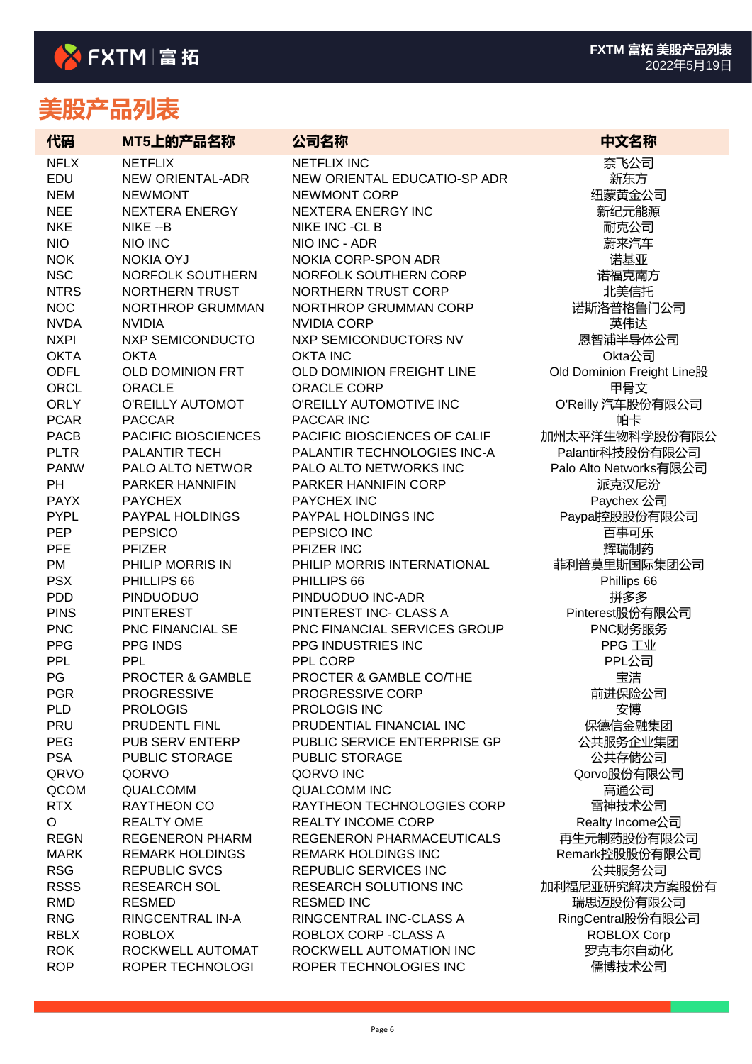| 代码          | MT5上的产品名称               | 公司名称                          | 中文名称                       |
|-------------|-------------------------|-------------------------------|----------------------------|
| <b>NFLX</b> | <b>NETFLIX</b>          | <b>NETFLIX INC</b>            | 奈飞公司                       |
| EDU         | <b>NEW ORIENTAL-ADR</b> | NEW ORIENTAL EDUCATIO-SP ADR  | 新东方                        |
| <b>NEM</b>  | <b>NEWMONT</b>          | <b>NEWMONT CORP</b>           | 纽蒙黄金公司                     |
| <b>NEE</b>  | <b>NEXTERA ENERGY</b>   | <b>NEXTERA ENERGY INC</b>     | 新纪元能源                      |
| <b>NKE</b>  | NIKE --B                | NIKE INC -CL B                | 耐克公司                       |
| <b>NIO</b>  | <b>NIO INC</b>          | NIO INC - ADR                 | 蔚来汽车                       |
| <b>NOK</b>  | <b>NOKIA OYJ</b>        | NOKIA CORP-SPON ADR           | 诺基亚                        |
| <b>NSC</b>  | NORFOLK SOUTHERN        | NORFOLK SOUTHERN CORP         | 诺福克南方                      |
| <b>NTRS</b> | NORTHERN TRUST          | <b>NORTHERN TRUST CORP</b>    | 北美信托                       |
| <b>NOC</b>  | <b>NORTHROP GRUMMAN</b> | NORTHROP GRUMMAN CORP         | 诺斯洛普格鲁门公司                  |
| <b>NVDA</b> | <b>NVIDIA</b>           | <b>NVIDIA CORP</b>            | 英伟达                        |
| <b>NXPI</b> | <b>NXP SEMICONDUCTO</b> | NXP SEMICONDUCTORS NV         | 恩智浦半导体公司                   |
| <b>OKTA</b> | <b>OKTA</b>             | <b>OKTA INC</b>               | Okta公司                     |
| <b>ODFL</b> | <b>OLD DOMINION FRT</b> | OLD DOMINION FREIGHT LINE     | Old Dominion Freight Line股 |
| ORCL        | <b>ORACLE</b>           | <b>ORACLE CORP</b>            | 甲骨文                        |
| <b>ORLY</b> | O'REILLY AUTOMOT        | O'REILLY AUTOMOTIVE INC       | O'Reilly 汽车股份有限公司          |
| <b>PCAR</b> | <b>PACCAR</b>           | PACCAR INC                    | 帕卡                         |
| <b>PACB</b> | PACIFIC BIOSCIENCES     | PACIFIC BIOSCIENCES OF CALIF  | 加州太平洋生物科学股份有限公             |
| <b>PLTR</b> | PALANTIR TECH           | PALANTIR TECHNOLOGIES INC-A   | Palantir科技股份有限公司           |
| <b>PANW</b> | PALO ALTO NETWOR        | PALO ALTO NETWORKS INC        | Palo Alto Networks有限公司     |
| <b>PH</b>   | PARKER HANNIFIN         | PARKER HANNIFIN CORP          | 派克汉尼汾                      |
| <b>PAYX</b> | <b>PAYCHEX</b>          | PAYCHEX INC                   | Paychex 公司                 |
| <b>PYPL</b> | PAYPAL HOLDINGS         | PAYPAL HOLDINGS INC           | Paypal控股股份有限公司             |
| <b>PEP</b>  | <b>PEPSICO</b>          | PEPSICO INC                   | 百事可乐                       |
| PFE         | <b>PFIZER</b>           | PFIZER INC                    | 辉瑞制药                       |
| PM          | PHILIP MORRIS IN        | PHILIP MORRIS INTERNATIONAL   | 菲利普莫里斯国际集团公司               |
| <b>PSX</b>  | PHILLIPS 66             | PHILLIPS 66                   | Phillips 66                |
| <b>PDD</b>  | <b>PINDUODUO</b>        | PINDUODUO INC-ADR             | 拼多多                        |
| <b>PINS</b> | <b>PINTEREST</b>        | PINTEREST INC- CLASS A        | Pinterest股份有限公司            |
| <b>PNC</b>  | PNC FINANCIAL SE        | PNC FINANCIAL SERVICES GROUP  | PNC财务服务                    |
| <b>PPG</b>  | PPG INDS                | PPG INDUSTRIES INC            | PPG 工业                     |
| PPL         | <b>PPL</b>              | PPL CORP                      | PPL公司                      |
| PG          | PROCTER & GAMBLE        | PROCTER & GAMBLE CO/THE       | 宝洁                         |
| <b>PGR</b>  | <b>PROGRESSIVE</b>      | PROGRESSIVE CORP              | 前进保险公司                     |
| <b>PLD</b>  | <b>PROLOGIS</b>         | PROLOGIS INC                  | 安博                         |
| PRU         | PRUDENTL FINL           | PRUDENTIAL FINANCIAL INC      | 保德信金融集团                    |
| <b>PEG</b>  | PUB SERV ENTERP         | PUBLIC SERVICE ENTERPRISE GP  | 公共服务企业集团                   |
| <b>PSA</b>  | <b>PUBLIC STORAGE</b>   | PUBLIC STORAGE                | 公共存储公司                     |
| QRVO        | QORVO                   | QORVO INC                     | Qorvo股份有限公司                |
| QCOM        | QUALCOMM                | <b>QUALCOMM INC</b>           | 高通公司                       |
| <b>RTX</b>  | RAYTHEON CO             | RAYTHEON TECHNOLOGIES CORP    | 雷神技术公司                     |
| O           | <b>REALTY OME</b>       | <b>REALTY INCOME CORP</b>     | Realty Income公司            |
| <b>REGN</b> | <b>REGENERON PHARM</b>  | REGENERON PHARMACEUTICALS     | 再生元制药股份有限公司                |
| <b>MARK</b> | <b>REMARK HOLDINGS</b>  | <b>REMARK HOLDINGS INC</b>    | Remark控股股份有限公司             |
| <b>RSG</b>  | <b>REPUBLIC SVCS</b>    | <b>REPUBLIC SERVICES INC</b>  | 公共服务公司                     |
| <b>RSSS</b> | <b>RESEARCH SOL</b>     | <b>RESEARCH SOLUTIONS INC</b> | 加利福尼亚研究解决方案股份有             |
| <b>RMD</b>  | <b>RESMED</b>           | <b>RESMED INC</b>             | 瑞思迈股份有限公司                  |
| <b>RNG</b>  | RINGCENTRAL IN-A        | RINGCENTRAL INC-CLASS A       | RingCentral股份有限公司          |
| <b>RBLX</b> | <b>ROBLOX</b>           | ROBLOX CORP - CLASS A         | ROBLOX Corp                |
| <b>ROK</b>  | ROCKWELL AUTOMAT        | ROCKWELL AUTOMATION INC       | 罗克韦尔自动化                    |
| <b>ROP</b>  | ROPER TECHNOLOGI        | ROPER TECHNOLOGIES INC        | 儒博技术公司                     |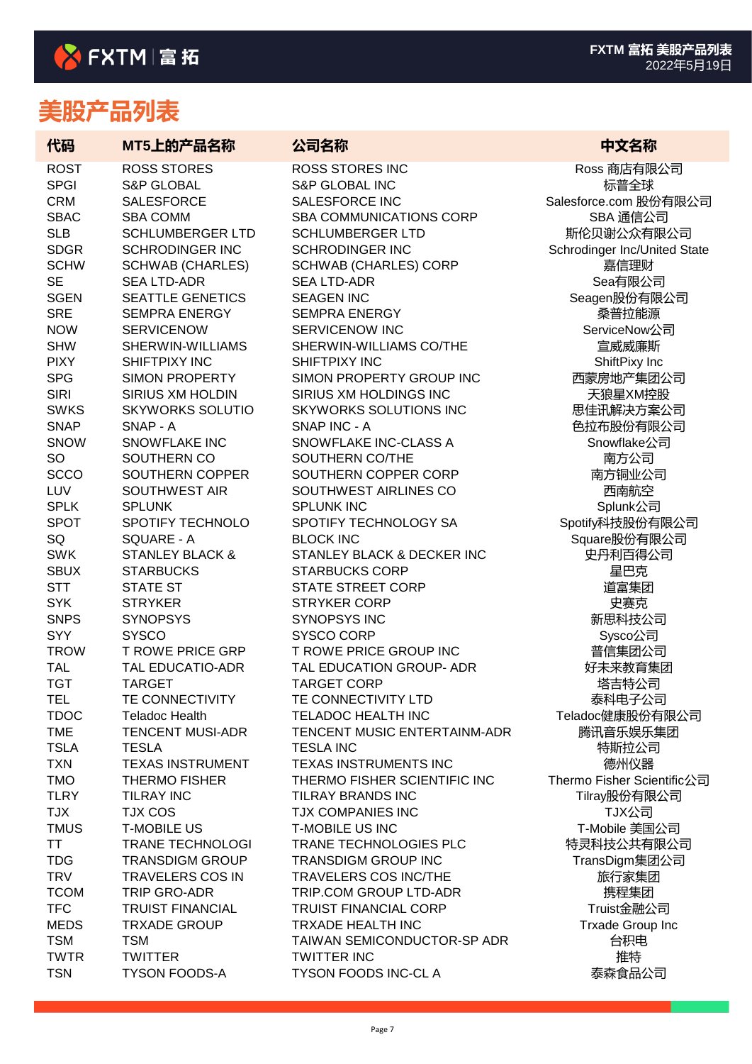| 代码                        | MT5上的产品名称                                  | 公司名称                                               | 中文名称                                       |
|---------------------------|--------------------------------------------|----------------------------------------------------|--------------------------------------------|
| <b>ROST</b>               | <b>ROSS STORES</b>                         | <b>ROSS STORES INC</b>                             | Ross 商店有限公司                                |
| <b>SPGI</b>               | <b>S&amp;P GLOBAL</b>                      | <b>S&amp;P GLOBAL INC</b>                          | 标普全球                                       |
| <b>CRM</b>                | <b>SALESFORCE</b>                          | SALESFORCE INC                                     | Salesforce.com 股份有限公司                      |
| <b>SBAC</b><br><b>SLB</b> | <b>SBA COMM</b><br><b>SCHLUMBERGER LTD</b> | SBA COMMUNICATIONS CORP                            | SBA 通信公司                                   |
| <b>SDGR</b>               | <b>SCHRODINGER INC</b>                     | <b>SCHLUMBERGER LTD</b><br><b>SCHRODINGER INC</b>  | 斯伦贝谢公众有限公司<br>Schrodinger Inc/United State |
| <b>SCHW</b>               | <b>SCHWAB (CHARLES)</b>                    | <b>SCHWAB (CHARLES) CORP</b>                       | 嘉信理财                                       |
| <b>SE</b>                 | <b>SEA LTD-ADR</b>                         | <b>SEA LTD-ADR</b>                                 | Sea有限公司                                    |
| <b>SGEN</b>               | <b>SEATTLE GENETICS</b>                    | <b>SEAGEN INC</b>                                  | Seagen股份有限公司                               |
| <b>SRE</b>                | <b>SEMPRA ENERGY</b>                       | <b>SEMPRA ENERGY</b>                               | 桑普拉能源                                      |
| <b>NOW</b>                | <b>SERVICENOW</b>                          | SERVICENOW INC                                     | ServiceNow公司                               |
| <b>SHW</b>                | SHERWIN-WILLIAMS                           | SHERWIN-WILLIAMS CO/THE                            | 宣威威廉斯                                      |
| <b>PIXY</b>               | SHIFTPIXY INC                              | SHIFTPIXY INC                                      | ShiftPixy Inc                              |
| <b>SPG</b>                | <b>SIMON PROPERTY</b>                      | SIMON PROPERTY GROUP INC                           | 西蒙房地产集团公司                                  |
| <b>SIRI</b>               | SIRIUS XM HOLDIN                           | SIRIUS XM HOLDINGS INC                             | 天狼星XM控股                                    |
| <b>SWKS</b>               | <b>SKYWORKS SOLUTIO</b>                    | <b>SKYWORKS SOLUTIONS INC</b>                      | 思佳讯解决方案公司                                  |
| <b>SNAP</b>               | SNAP - A                                   | SNAP INC - A                                       | 色拉布股份有限公司                                  |
| <b>SNOW</b>               | <b>SNOWFLAKE INC</b>                       | SNOWFLAKE INC-CLASS A                              | Snowflake公司                                |
| <b>SO</b>                 | SOUTHERN CO                                | SOUTHERN CO/THE                                    | 南方公司                                       |
| <b>SCCO</b>               | SOUTHERN COPPER                            | SOUTHERN COPPER CORP                               | 南方铜业公司                                     |
| LUV                       | <b>SOUTHWEST AIR</b>                       | SOUTHWEST AIRLINES CO                              | 西南航空                                       |
| <b>SPLK</b>               | <b>SPLUNK</b>                              | <b>SPLUNK INC</b>                                  | Splunk公司                                   |
| <b>SPOT</b>               | SPOTIFY TECHNOLO                           | SPOTIFY TECHNOLOGY SA                              | Spotify科技股份有限公司                            |
| SQ                        | SQUARE - A                                 | <b>BLOCK INC</b>                                   | Square股份有限公司                               |
| <b>SWK</b>                | <b>STANLEY BLACK &amp;</b>                 | STANLEY BLACK & DECKER INC                         | 史丹利百得公司                                    |
| <b>SBUX</b>               | <b>STARBUCKS</b>                           | <b>STARBUCKS CORP</b>                              | 星巴克                                        |
| <b>STT</b>                | <b>STATE ST</b>                            | <b>STATE STREET CORP</b>                           | 道富集团                                       |
| <b>SYK</b>                | <b>STRYKER</b>                             | <b>STRYKER CORP</b>                                | 史赛克                                        |
| <b>SNPS</b>               | <b>SYNOPSYS</b>                            | SYNOPSYS INC                                       | 新思科技公司                                     |
| <b>SYY</b>                | <b>SYSCO</b>                               | SYSCO CORP                                         | Sysco公司                                    |
| <b>TROW</b>               | <b>T ROWE PRICE GRP</b>                    | T ROWE PRICE GROUP INC<br>TAL EDUCATION GROUP- ADR | 普信集团公司                                     |
| <b>TAL</b><br><b>TGT</b>  | TAL EDUCATIO-ADR<br><b>TARGET</b>          | <b>TARGET CORP</b>                                 | 好未来教育集团<br>塔吉特公司                           |
| <b>TEL</b>                | TE CONNECTIVITY                            | TE CONNECTIVITY LTD                                | 泰科电子公司                                     |
| <b>TDOC</b>               | <b>Teladoc Health</b>                      | TELADOC HEALTH INC                                 | Teladoc健康股份有限公司                            |
| <b>TME</b>                | <b>TENCENT MUSI-ADR</b>                    | TENCENT MUSIC ENTERTAINM-ADR                       | 腾讯音乐娱乐集团                                   |
| <b>TSLA</b>               | <b>TESLA</b>                               | <b>TESLA INC</b>                                   | 特斯拉公司                                      |
| <b>TXN</b>                | <b>TEXAS INSTRUMENT</b>                    | TEXAS INSTRUMENTS INC                              | 德州仪器                                       |
| <b>TMO</b>                | <b>THERMO FISHER</b>                       | THERMO FISHER SCIENTIFIC INC                       | Thermo Fisher Scientific公司                 |
| <b>TLRY</b>               | <b>TILRAY INC</b>                          | <b>TILRAY BRANDS INC</b>                           | Tilray股份有限公司                               |
| <b>TJX</b>                | <b>TJX COS</b>                             | TJX COMPANIES INC                                  | TJX公司                                      |
| <b>TMUS</b>               | <b>T-MOBILE US</b>                         | <b>T-MOBILE US INC</b>                             | T-Mobile 美国公司                              |
| <b>TT</b>                 | <b>TRANE TECHNOLOGI</b>                    | TRANE TECHNOLOGIES PLC                             | 特灵科技公共有限公司                                 |
| <b>TDG</b>                | <b>TRANSDIGM GROUP</b>                     | <b>TRANSDIGM GROUP INC</b>                         | TransDigm集团公司                              |
| <b>TRV</b>                | <b>TRAVELERS COS IN</b>                    | <b>TRAVELERS COS INC/THE</b>                       | 旅行家集团                                      |
| <b>TCOM</b>               | TRIP GRO-ADR                               | TRIP.COM GROUP LTD-ADR                             | 携程集团                                       |
| <b>TFC</b>                | <b>TRUIST FINANCIAL</b>                    | <b>TRUIST FINANCIAL CORP</b>                       | Truist金融公司                                 |
| <b>MEDS</b>               | <b>TRXADE GROUP</b>                        | TRXADE HEALTH INC                                  | <b>Trxade Group Inc</b>                    |
| <b>TSM</b>                | <b>TSM</b>                                 | TAIWAN SEMICONDUCTOR-SP ADR                        | 台积电                                        |
| <b>TWTR</b>               | <b>TWITTER</b>                             | <b>TWITTER INC</b>                                 | 推特                                         |
| <b>TSN</b>                | <b>TYSON FOODS-A</b>                       | <b>TYSON FOODS INC-CLA</b>                         | 泰森食品公司                                     |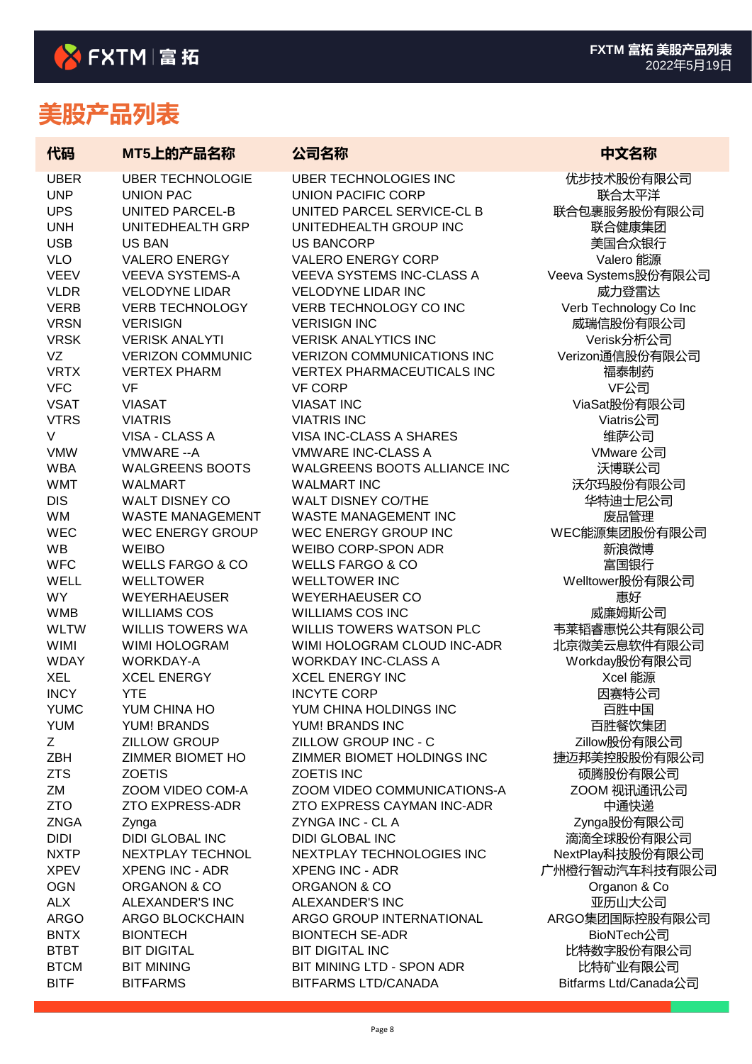| 代码                         | MT5上的产品名称                                  | 公司名称                                                      | 中文名称                    |
|----------------------------|--------------------------------------------|-----------------------------------------------------------|-------------------------|
| <b>UBER</b>                | <b>UBER TECHNOLOGIE</b>                    | <b>UBER TECHNOLOGIES INC</b>                              | 优步技术股份有限公司              |
| <b>UNP</b>                 | <b>UNION PAC</b>                           | <b>UNION PACIFIC CORP</b>                                 | 联合太平洋                   |
| <b>UPS</b>                 | <b>UNITED PARCEL-B</b>                     | UNITED PARCEL SERVICE-CL B                                | 联合包裹服务股份有限公司            |
| <b>UNH</b>                 | UNITEDHEALTH GRP                           | UNITEDHEALTH GROUP INC                                    | 联合健康集团                  |
| <b>USB</b>                 | <b>US BAN</b>                              | <b>US BANCORP</b>                                         | 美国合众银行                  |
| <b>VLO</b>                 | <b>VALERO ENERGY</b>                       | <b>VALERO ENERGY CORP</b>                                 | Valero 能源               |
| <b>VEEV</b>                | <b>VEEVA SYSTEMS-A</b>                     | <b>VEEVA SYSTEMS INC-CLASS A</b>                          | Veeva Systems股份有限公司     |
| <b>VLDR</b><br><b>VERB</b> | <b>VELODYNE LIDAR</b>                      | <b>VELODYNE LIDAR INC</b><br>VERB TECHNOLOGY CO INC       | 威力登雷达                   |
| <b>VRSN</b>                | <b>VERB TECHNOLOGY</b><br><b>VERISIGN</b>  | <b>VERISIGN INC</b>                                       | Verb Technology Co Inc  |
| <b>VRSK</b>                | <b>VERISK ANALYTI</b>                      | <b>VERISK ANALYTICS INC</b>                               | 威瑞信股份有限公司<br>Verisk分析公司 |
| VZ                         | <b>VERIZON COMMUNIC</b>                    | <b>VERIZON COMMUNICATIONS INC</b>                         | Verizon通信股份有限公司         |
| <b>VRTX</b>                | <b>VERTEX PHARM</b>                        | <b>VERTEX PHARMACEUTICALS INC</b>                         | 福泰制药                    |
| <b>VFC</b>                 | <b>VF</b>                                  | <b>VF CORP</b>                                            | VF公司                    |
| <b>VSAT</b>                | <b>VIASAT</b>                              | <b>VIASAT INC</b>                                         | ViaSat股份有限公司            |
| <b>VTRS</b>                | <b>VIATRIS</b>                             | <b>VIATRIS INC</b>                                        | Viatris公司               |
| V                          | VISA - CLASS A                             | VISA INC-CLASS A SHARES                                   | 维萨公司                    |
| <b>VMW</b>                 | VMWARE -- A                                | <b>VMWARE INC-CLASS A</b>                                 | VMware 公司               |
| <b>WBA</b>                 | <b>WALGREENS BOOTS</b>                     | WALGREENS BOOTS ALLIANCE INC                              | 沃博联公司                   |
| <b>WMT</b>                 | <b>WALMART</b>                             | <b>WALMART INC</b>                                        | 沃尔玛股份有限公司               |
| <b>DIS</b>                 | <b>WALT DISNEY CO</b>                      | WALT DISNEY CO/THE                                        | 华特迪士尼公司                 |
| WM                         | <b>WASTE MANAGEMENT</b>                    | <b>WASTE MANAGEMENT INC</b>                               | 废品管理                    |
| <b>WEC</b>                 | <b>WEC ENERGY GROUP</b>                    | WEC ENERGY GROUP INC                                      | WEC能源集团股份有限公司           |
| <b>WB</b>                  | <b>WEIBO</b>                               | <b>WEIBO CORP-SPON ADR</b>                                | 新浪微博                    |
| <b>WFC</b>                 | <b>WELLS FARGO &amp; CO</b>                | <b>WELLS FARGO &amp; CO</b>                               | 富国银行                    |
| <b>WELL</b>                | <b>WELLTOWER</b>                           | <b>WELLTOWER INC</b>                                      | Welltower股份有限公司         |
| <b>WY</b>                  | <b>WEYERHAEUSER</b>                        | <b>WEYERHAEUSER CO</b>                                    | 惠好                      |
| <b>WMB</b>                 | <b>WILLIAMS COS</b>                        | <b>WILLIAMS COS INC</b>                                   | 威廉姆斯公司                  |
| <b>WLTW</b>                | <b>WILLIS TOWERS WA</b>                    | WILLIS TOWERS WATSON PLC                                  | 韦莱韬睿惠悦公共有限公司            |
| <b>WIMI</b>                | WIMI HOLOGRAM                              | WIMI HOLOGRAM CLOUD INC-ADR                               | 北京微美云息软件有限公司            |
| <b>WDAY</b>                | <b>WORKDAY-A</b>                           | <b>WORKDAY INC-CLASS A</b>                                | Workday股份有限公司           |
| <b>XEL</b>                 | <b>XCEL ENERGY</b>                         | <b>XCEL ENERGY INC</b>                                    | Xcel 能源                 |
| <b>INCY</b>                | <b>YTE</b>                                 | <b>INCYTE CORP</b>                                        | 因赛特公司                   |
| <b>YUMC</b>                | YUM CHINA HO                               | YUM CHINA HOLDINGS INC                                    | 百胜中国                    |
| <b>YUM</b>                 | <b>YUM! BRANDS</b>                         | YUM! BRANDS INC                                           | 百胜餐饮集团                  |
| Z                          | <b>ZILLOW GROUP</b>                        | ZILLOW GROUP INC - C                                      | Zillow股份有限公司            |
| ZBH                        | ZIMMER BIOMET HO                           | ZIMMER BIOMET HOLDINGS INC                                | 捷迈邦美控股股份有限公司            |
| <b>ZTS</b>                 | <b>ZOETIS</b>                              | <b>ZOETIS INC</b>                                         | 硕腾股份有限公司                |
| ZM<br><b>ZTO</b>           | ZOOM VIDEO COM-A<br><b>ZTO EXPRESS-ADR</b> | ZOOM VIDEO COMMUNICATIONS-A<br>ZTO EXPRESS CAYMAN INC-ADR | ZOOM 视讯通讯公司             |
| <b>ZNGA</b>                |                                            | ZYNGA INC - CL A                                          | 中通快递<br>Zynga股份有限公司     |
| <b>DIDI</b>                | Zynga<br><b>DIDI GLOBAL INC</b>            | <b>DIDI GLOBAL INC</b>                                    | 滴滴全球股份有限公司              |
| <b>NXTP</b>                | NEXTPLAY TECHNOL                           | NEXTPLAY TECHNOLOGIES INC                                 | NextPlay科技股份有限公司        |
| <b>XPEV</b>                | <b>XPENG INC - ADR</b>                     | <b>XPENG INC - ADR</b>                                    | 广州橙行智动汽车科技有限公司          |
| <b>OGN</b>                 | ORGANON & CO                               | ORGANON & CO                                              | Organon & Co            |
| <b>ALX</b>                 | ALEXANDER'S INC                            | <b>ALEXANDER'S INC</b>                                    | 亚历山大公司                  |
| <b>ARGO</b>                | ARGO BLOCKCHAIN                            | ARGO GROUP INTERNATIONAL                                  | ARGO集团国际控股有限公司          |
| <b>BNTX</b>                | <b>BIONTECH</b>                            | <b>BIONTECH SE-ADR</b>                                    | BioNTech公司              |
| <b>BTBT</b>                | <b>BIT DIGITAL</b>                         | <b>BIT DIGITAL INC</b>                                    | 比特数字股份有限公司              |
| <b>BTCM</b>                | <b>BIT MINING</b>                          | BIT MINING LTD - SPON ADR                                 | 比特矿业有限公司                |
| <b>BITF</b>                | <b>BITFARMS</b>                            | <b>BITFARMS LTD/CANADA</b>                                | Bitfarms Ltd/Canada公司   |
|                            |                                            |                                                           |                         |